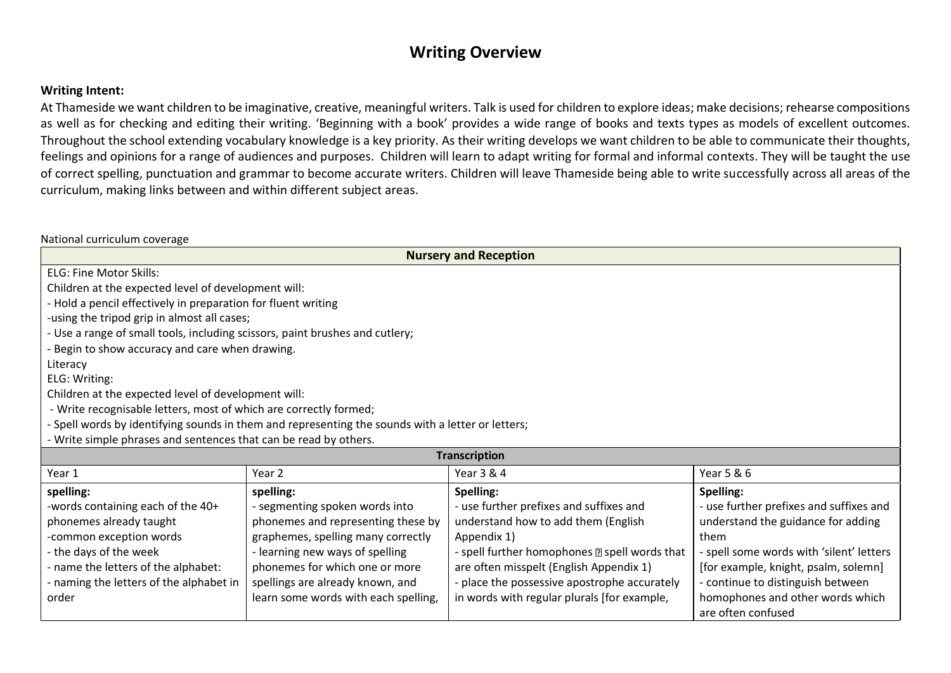## **Writing Overview**

## **Writing Intent:**

At Thameside we want children to be imaginative, creative, meaningful writers. Talk is used for children to explore ideas; make decisions; rehearse compositions as well as for checking and editing their writing. 'Beginning with a book' provides a wide range of books and texts types as models of excellent outcomes. Throughout the school extending vocabulary knowledge is a key priority. As their writing develops we want children to be able to communicate their thoughts, feelings and opinions for a range of audiences and purposes. Children will learn to adapt writing for formal and informal contexts. They will be taught the use of correct spelling, punctuation and grammar to become accurate writers. Children will leave Thameside being able to write successfully across all areas of the curriculum, making links between and within different subject areas.

National curriculum coverage

| <b>Nursery and Reception</b>                                                                                                                                  |                                                                                                   |                                              |                                                        |  |  |
|---------------------------------------------------------------------------------------------------------------------------------------------------------------|---------------------------------------------------------------------------------------------------|----------------------------------------------|--------------------------------------------------------|--|--|
| <b>ELG: Fine Motor Skills:</b>                                                                                                                                |                                                                                                   |                                              |                                                        |  |  |
| Children at the expected level of development will:                                                                                                           |                                                                                                   |                                              |                                                        |  |  |
| - Hold a pencil effectively in preparation for fluent writing                                                                                                 |                                                                                                   |                                              |                                                        |  |  |
| -using the tripod grip in almost all cases;                                                                                                                   |                                                                                                   |                                              |                                                        |  |  |
| - Use a range of small tools, including scissors, paint brushes and cutlery;                                                                                  |                                                                                                   |                                              |                                                        |  |  |
| - Begin to show accuracy and care when drawing.                                                                                                               |                                                                                                   |                                              |                                                        |  |  |
| Literacy                                                                                                                                                      |                                                                                                   |                                              |                                                        |  |  |
| ELG: Writing:                                                                                                                                                 |                                                                                                   |                                              |                                                        |  |  |
| Children at the expected level of development will:                                                                                                           |                                                                                                   |                                              |                                                        |  |  |
| - Write recognisable letters, most of which are correctly formed;                                                                                             |                                                                                                   |                                              |                                                        |  |  |
|                                                                                                                                                               | - Spell words by identifying sounds in them and representing the sounds with a letter or letters; |                                              |                                                        |  |  |
| - Write simple phrases and sentences that can be read by others.                                                                                              |                                                                                                   |                                              |                                                        |  |  |
|                                                                                                                                                               |                                                                                                   | <b>Transcription</b>                         |                                                        |  |  |
| Year 1                                                                                                                                                        | Year 2                                                                                            | Year 3 & 4                                   | Year 5 & 6                                             |  |  |
| spelling:                                                                                                                                                     | spelling:                                                                                         | Spelling:                                    | Spelling:                                              |  |  |
| -words containing each of the 40+                                                                                                                             | - segmenting spoken words into                                                                    | - use further prefixes and suffixes and      | - use further prefixes and suffixes and                |  |  |
| phonemes already taught                                                                                                                                       | phonemes and representing these by                                                                | understand how to add them (English          | understand the guidance for adding                     |  |  |
| graphemes, spelling many correctly<br>-common exception words<br>them<br>Appendix 1)                                                                          |                                                                                                   |                                              |                                                        |  |  |
| - the days of the week<br>- learning new ways of spelling<br>- spell further homophones <b>a</b> spell words that<br>- spell some words with 'silent' letters |                                                                                                   |                                              |                                                        |  |  |
| - name the letters of the alphabet:                                                                                                                           | phonemes for which one or more                                                                    | are often misspelt (English Appendix 1)      | [for example, knight, psalm, solemn]                   |  |  |
| - naming the letters of the alphabet in                                                                                                                       | spellings are already known, and                                                                  | - place the possessive apostrophe accurately | - continue to distinguish between                      |  |  |
| order                                                                                                                                                         | learn some words with each spelling,                                                              | in words with regular plurals [for example,  | homophones and other words which<br>are often confused |  |  |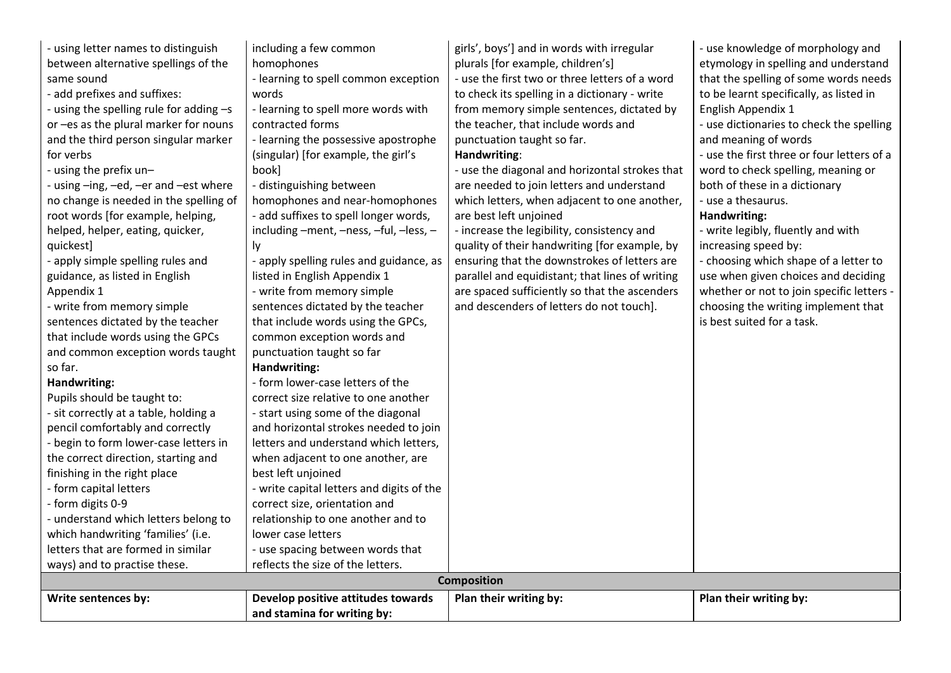| - using letter names to distinguish     | including a few common                    | girls', boys'] and in words with irregular      | - use knowledge of morphology and          |  |
|-----------------------------------------|-------------------------------------------|-------------------------------------------------|--------------------------------------------|--|
| between alternative spellings of the    | homophones                                | plurals [for example, children's]               | etymology in spelling and understand       |  |
| same sound                              | - learning to spell common exception      | - use the first two or three letters of a word  | that the spelling of some words needs      |  |
| - add prefixes and suffixes:            | words                                     | to check its spelling in a dictionary - write   | to be learnt specifically, as listed in    |  |
| - using the spelling rule for adding -s | - learning to spell more words with       | from memory simple sentences, dictated by       | English Appendix 1                         |  |
| or -es as the plural marker for nouns   | contracted forms                          | the teacher, that include words and             | - use dictionaries to check the spelling   |  |
| and the third person singular marker    | - learning the possessive apostrophe      | punctuation taught so far.                      | and meaning of words                       |  |
| for verbs                               | (singular) [for example, the girl's       | Handwriting:                                    | - use the first three or four letters of a |  |
| - using the prefix un-                  | book]                                     | - use the diagonal and horizontal strokes that  | word to check spelling, meaning or         |  |
| - using -ing, -ed, -er and -est where   | - distinguishing between                  | are needed to join letters and understand       | both of these in a dictionary              |  |
| no change is needed in the spelling of  | homophones and near-homophones            | which letters, when adjacent to one another,    | - use a thesaurus.                         |  |
| root words [for example, helping,       | - add suffixes to spell longer words,     | are best left unjoined                          | Handwriting:                               |  |
| helped, helper, eating, quicker,        | including -ment, -ness, -ful, -less, -    | - increase the legibility, consistency and      | - write legibly, fluently and with         |  |
| quickest]                               | ly.                                       | quality of their handwriting [for example, by   | increasing speed by:                       |  |
| - apply simple spelling rules and       | - apply spelling rules and guidance, as   | ensuring that the downstrokes of letters are    | - choosing which shape of a letter to      |  |
| guidance, as listed in English          | listed in English Appendix 1              | parallel and equidistant; that lines of writing | use when given choices and deciding        |  |
| Appendix 1                              | - write from memory simple                | are spaced sufficiently so that the ascenders   | whether or not to join specific letters -  |  |
| - write from memory simple              | sentences dictated by the teacher         | and descenders of letters do not touch].        | choosing the writing implement that        |  |
| sentences dictated by the teacher       | that include words using the GPCs,        |                                                 | is best suited for a task.                 |  |
| that include words using the GPCs       | common exception words and                |                                                 |                                            |  |
| and common exception words taught       | punctuation taught so far                 |                                                 |                                            |  |
| so far.                                 | Handwriting:                              |                                                 |                                            |  |
| Handwriting:                            | - form lower-case letters of the          |                                                 |                                            |  |
| Pupils should be taught to:             | correct size relative to one another      |                                                 |                                            |  |
| - sit correctly at a table, holding a   | - start using some of the diagonal        |                                                 |                                            |  |
| pencil comfortably and correctly        | and horizontal strokes needed to join     |                                                 |                                            |  |
| - begin to form lower-case letters in   | letters and understand which letters,     |                                                 |                                            |  |
| the correct direction, starting and     | when adjacent to one another, are         |                                                 |                                            |  |
| finishing in the right place            | best left unjoined                        |                                                 |                                            |  |
| - form capital letters                  | - write capital letters and digits of the |                                                 |                                            |  |
| - form digits 0-9                       | correct size, orientation and             |                                                 |                                            |  |
| - understand which letters belong to    | relationship to one another and to        |                                                 |                                            |  |
| which handwriting 'families' (i.e.      | lower case letters                        |                                                 |                                            |  |
| letters that are formed in similar      | - use spacing between words that          |                                                 |                                            |  |
| ways) and to practise these.            | reflects the size of the letters.         |                                                 |                                            |  |
| <b>Composition</b>                      |                                           |                                                 |                                            |  |
| Write sentences by:                     | Develop positive attitudes towards        | Plan their writing by:                          | Plan their writing by:                     |  |
|                                         | and stamina for writing by:               |                                                 |                                            |  |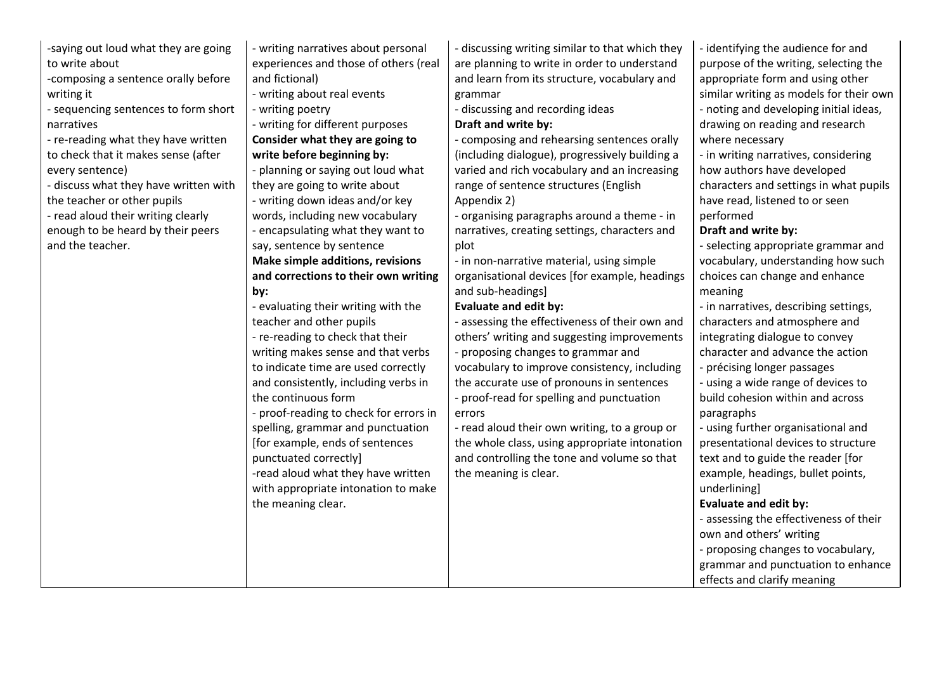| -saying out loud what they are going  | - writing narratives about personal    | - discussing writing similar to that which they | - identifying the audience for and      |
|---------------------------------------|----------------------------------------|-------------------------------------------------|-----------------------------------------|
| to write about                        | experiences and those of others (real  | are planning to write in order to understand    | purpose of the writing, selecting the   |
| -composing a sentence orally before   | and fictional)                         | and learn from its structure, vocabulary and    | appropriate form and using other        |
| writing it                            | - writing about real events            | grammar                                         | similar writing as models for their own |
| - sequencing sentences to form short  | - writing poetry                       | - discussing and recording ideas                | - noting and developing initial ideas,  |
| narratives                            | - writing for different purposes       | Draft and write by:                             | drawing on reading and research         |
| - re-reading what they have written   | Consider what they are going to        | - composing and rehearsing sentences orally     | where necessary                         |
| to check that it makes sense (after   | write before beginning by:             | (including dialogue), progressively building a  | - in writing narratives, considering    |
| every sentence)                       | - planning or saying out loud what     | varied and rich vocabulary and an increasing    | how authors have developed              |
| - discuss what they have written with | they are going to write about          | range of sentence structures (English           | characters and settings in what pupils  |
| the teacher or other pupils           | - writing down ideas and/or key        | Appendix 2)                                     | have read, listened to or seen          |
| - read aloud their writing clearly    | words, including new vocabulary        | - organising paragraphs around a theme - in     | performed                               |
| enough to be heard by their peers     | - encapsulating what they want to      | narratives, creating settings, characters and   | Draft and write by:                     |
| and the teacher.                      | say, sentence by sentence              | plot                                            | - selecting appropriate grammar and     |
|                                       | Make simple additions, revisions       | - in non-narrative material, using simple       | vocabulary, understanding how such      |
|                                       | and corrections to their own writing   | organisational devices [for example, headings   | choices can change and enhance          |
|                                       | by:                                    | and sub-headings]                               | meaning                                 |
|                                       | - evaluating their writing with the    | <b>Evaluate and edit by:</b>                    | - in narratives, describing settings,   |
|                                       | teacher and other pupils               | - assessing the effectiveness of their own and  | characters and atmosphere and           |
|                                       | - re-reading to check that their       | others' writing and suggesting improvements     | integrating dialogue to convey          |
|                                       | writing makes sense and that verbs     | - proposing changes to grammar and              | character and advance the action        |
|                                       | to indicate time are used correctly    | vocabulary to improve consistency, including    | - précising longer passages             |
|                                       | and consistently, including verbs in   | the accurate use of pronouns in sentences       | - using a wide range of devices to      |
|                                       | the continuous form                    | - proof-read for spelling and punctuation       | build cohesion within and across        |
|                                       | - proof-reading to check for errors in | errors                                          | paragraphs                              |
|                                       | spelling, grammar and punctuation      | - read aloud their own writing, to a group or   | - using further organisational and      |
|                                       | [for example, ends of sentences        | the whole class, using appropriate intonation   | presentational devices to structure     |
|                                       | punctuated correctly]                  | and controlling the tone and volume so that     | text and to guide the reader [for       |
|                                       | -read aloud what they have written     | the meaning is clear.                           | example, headings, bullet points,       |
|                                       | with appropriate intonation to make    |                                                 | underlining]                            |
|                                       | the meaning clear.                     |                                                 | <b>Evaluate and edit by:</b>            |
|                                       |                                        |                                                 | - assessing the effectiveness of their  |
|                                       |                                        |                                                 | own and others' writing                 |
|                                       |                                        |                                                 | - proposing changes to vocabulary,      |
|                                       |                                        |                                                 | grammar and punctuation to enhance      |
|                                       |                                        |                                                 | effects and clarify meaning             |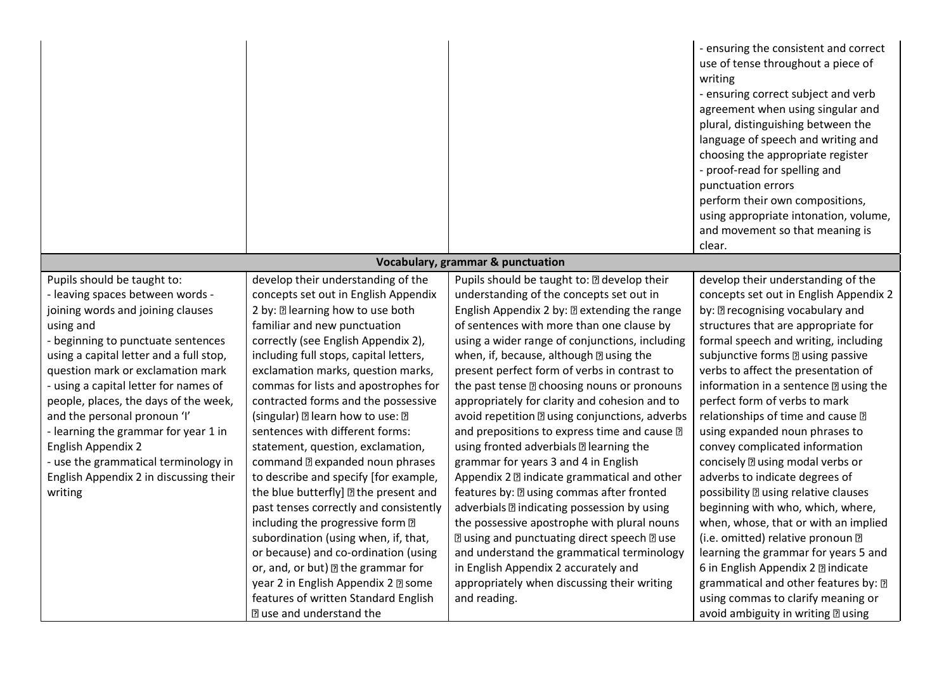|                                                                                                                                                                                                                                                                                                                                                                                                                                                                                                                             |                                                                                                                                                                                                                                                                                                                                                                                                                                                                                                                                                                                                                                                                                                                                                                                                                                                                                                                    |                                                                                                                                                                                                                                                                                                                                                                                                                                                                                                                                                                                                                                                                                                                                                                                                                                                                                                                                                                                                                                                | - ensuring the consistent and correct<br>use of tense throughout a piece of<br>writing<br>- ensuring correct subject and verb<br>agreement when using singular and<br>plural, distinguishing between the<br>language of speech and writing and<br>choosing the appropriate register<br>- proof-read for spelling and<br>punctuation errors<br>perform their own compositions,<br>using appropriate intonation, volume,<br>and movement so that meaning is<br>clear.                                                                                                                                                                                                                                                                                                                                                                                                                                                                                   |
|-----------------------------------------------------------------------------------------------------------------------------------------------------------------------------------------------------------------------------------------------------------------------------------------------------------------------------------------------------------------------------------------------------------------------------------------------------------------------------------------------------------------------------|--------------------------------------------------------------------------------------------------------------------------------------------------------------------------------------------------------------------------------------------------------------------------------------------------------------------------------------------------------------------------------------------------------------------------------------------------------------------------------------------------------------------------------------------------------------------------------------------------------------------------------------------------------------------------------------------------------------------------------------------------------------------------------------------------------------------------------------------------------------------------------------------------------------------|------------------------------------------------------------------------------------------------------------------------------------------------------------------------------------------------------------------------------------------------------------------------------------------------------------------------------------------------------------------------------------------------------------------------------------------------------------------------------------------------------------------------------------------------------------------------------------------------------------------------------------------------------------------------------------------------------------------------------------------------------------------------------------------------------------------------------------------------------------------------------------------------------------------------------------------------------------------------------------------------------------------------------------------------|-------------------------------------------------------------------------------------------------------------------------------------------------------------------------------------------------------------------------------------------------------------------------------------------------------------------------------------------------------------------------------------------------------------------------------------------------------------------------------------------------------------------------------------------------------------------------------------------------------------------------------------------------------------------------------------------------------------------------------------------------------------------------------------------------------------------------------------------------------------------------------------------------------------------------------------------------------|
|                                                                                                                                                                                                                                                                                                                                                                                                                                                                                                                             |                                                                                                                                                                                                                                                                                                                                                                                                                                                                                                                                                                                                                                                                                                                                                                                                                                                                                                                    | Vocabulary, grammar & punctuation                                                                                                                                                                                                                                                                                                                                                                                                                                                                                                                                                                                                                                                                                                                                                                                                                                                                                                                                                                                                              |                                                                                                                                                                                                                                                                                                                                                                                                                                                                                                                                                                                                                                                                                                                                                                                                                                                                                                                                                       |
| Pupils should be taught to:<br>- leaving spaces between words -<br>joining words and joining clauses<br>using and<br>- beginning to punctuate sentences<br>using a capital letter and a full stop,<br>question mark or exclamation mark<br>- using a capital letter for names of<br>people, places, the days of the week,<br>and the personal pronoun 'I'<br>- learning the grammar for year 1 in<br><b>English Appendix 2</b><br>- use the grammatical terminology in<br>English Appendix 2 in discussing their<br>writing | develop their understanding of the<br>concepts set out in English Appendix<br>2 by: 2 learning how to use both<br>familiar and new punctuation<br>correctly (see English Appendix 2),<br>including full stops, capital letters,<br>exclamation marks, question marks,<br>commas for lists and apostrophes for<br>contracted forms and the possessive<br>(singular) al learn how to use: a<br>sentences with different forms:<br>statement, question, exclamation,<br>command <b>D</b> expanded noun phrases<br>to describe and specify [for example,<br>the blue butterfly] 2 the present and<br>past tenses correctly and consistently<br>including the progressive form ?<br>subordination (using when, if, that,<br>or because) and co-ordination (using<br>or, and, or but) I the grammar for<br>year 2 in English Appendix 2 2 some<br>features of written Standard English<br><b>Duse and understand the</b> | Pupils should be taught to: [2] develop their<br>understanding of the concepts set out in<br>English Appendix 2 by: 2 extending the range<br>of sentences with more than one clause by<br>using a wider range of conjunctions, including<br>when, if, because, although a using the<br>present perfect form of verbs in contrast to<br>the past tense <b>D</b> choosing nouns or pronouns<br>appropriately for clarity and cohesion and to<br>avoid repetition a using conjunctions, adverbs<br>and prepositions to express time and cause ?<br>using fronted adverbials <b>D</b> learning the<br>grammar for years 3 and 4 in English<br>Appendix 2 2 indicate grammatical and other<br>features by: [2] using commas after fronted<br>adverbials ?? indicating possession by using<br>the possessive apostrophe with plural nouns<br><b>2 using and punctuating direct speech 2 use</b><br>and understand the grammatical terminology<br>in English Appendix 2 accurately and<br>appropriately when discussing their writing<br>and reading. | develop their understanding of the<br>concepts set out in English Appendix 2<br>by: <b>Deparation</b> recognising vocabulary and<br>structures that are appropriate for<br>formal speech and writing, including<br>subjunctive forms <b>D</b> using passive<br>verbs to affect the presentation of<br>information in a sentence <b>a</b> using the<br>perfect form of verbs to mark<br>relationships of time and cause ?<br>using expanded noun phrases to<br>convey complicated information<br>concisely <b>a</b> using modal verbs or<br>adverbs to indicate degrees of<br>possibility <b>D</b> using relative clauses<br>beginning with who, which, where,<br>when, whose, that or with an implied<br>(i.e. omitted) relative pronoun ?<br>learning the grammar for years 5 and<br>6 in English Appendix 2 2 indicate<br>grammatical and other features by: [7]<br>using commas to clarify meaning or<br>avoid ambiguity in writing <b>D</b> using |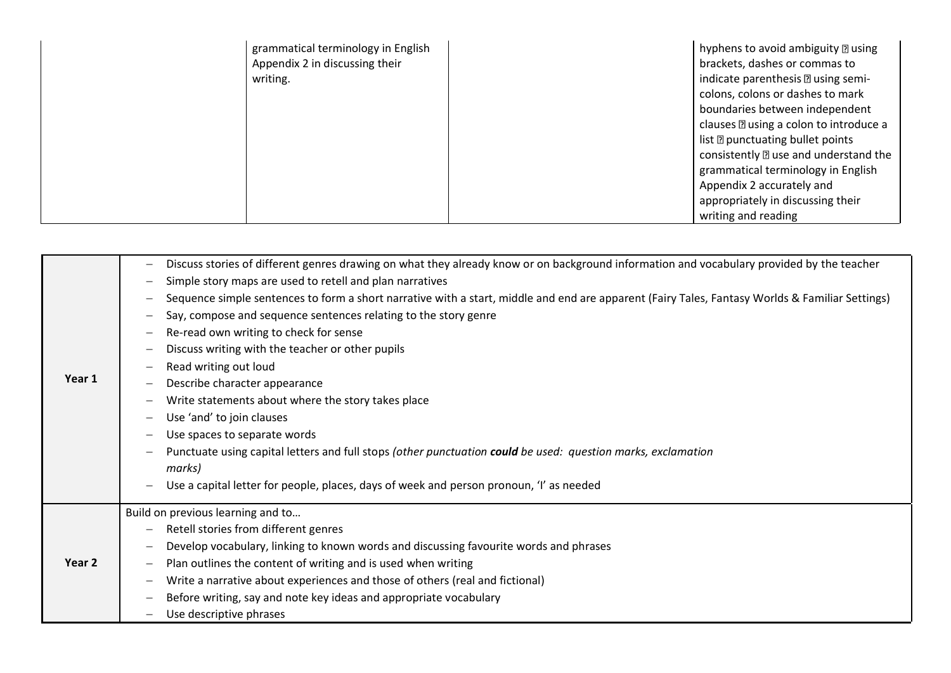| grammatical terminology in English | hyphens to avoid ambiguity <b>D</b> using     |
|------------------------------------|-----------------------------------------------|
| Appendix 2 in discussing their     | brackets, dashes or commas to                 |
| writing.                           | indicate parenthesis a using semi-            |
|                                    | colons, colons or dashes to mark              |
|                                    | boundaries between independent                |
|                                    | clauses <b>D</b> using a colon to introduce a |
|                                    | list <b>D</b> punctuating bullet points       |
|                                    | consistently <b>D</b> use and understand the  |
|                                    | grammatical terminology in English            |
|                                    | Appendix 2 accurately and                     |
|                                    | appropriately in discussing their             |
|                                    | writing and reading                           |

| Year 1 | Discuss stories of different genres drawing on what they already know or on background information and vocabulary provided by the teacher<br>$\overline{\phantom{m}}$<br>Simple story maps are used to retell and plan narratives<br>$\qquad \qquad -$<br>Sequence simple sentences to form a short narrative with a start, middle and end are apparent (Fairy Tales, Fantasy Worlds & Familiar Settings)<br>$\qquad \qquad -$<br>Say, compose and sequence sentences relating to the story genre<br>$\qquad \qquad -$<br>Re-read own writing to check for sense<br>$\qquad \qquad -$<br>Discuss writing with the teacher or other pupils<br>Read writing out loud<br>Describe character appearance<br>Write statements about where the story takes place<br>Use 'and' to join clauses<br>Use spaces to separate words<br>Punctuate using capital letters and full stops (other punctuation could be used: question marks, exclamation<br>marks)<br>Use a capital letter for people, places, days of week and person pronoun, 'I' as needed |
|--------|---------------------------------------------------------------------------------------------------------------------------------------------------------------------------------------------------------------------------------------------------------------------------------------------------------------------------------------------------------------------------------------------------------------------------------------------------------------------------------------------------------------------------------------------------------------------------------------------------------------------------------------------------------------------------------------------------------------------------------------------------------------------------------------------------------------------------------------------------------------------------------------------------------------------------------------------------------------------------------------------------------------------------------------------|
| Year 2 | Build on previous learning and to<br>Retell stories from different genres<br>Develop vocabulary, linking to known words and discussing favourite words and phrases<br>$\qquad \qquad -$<br>Plan outlines the content of writing and is used when writing<br>Write a narrative about experiences and those of others (real and fictional)<br>Before writing, say and note key ideas and appropriate vocabulary<br>Use descriptive phrases                                                                                                                                                                                                                                                                                                                                                                                                                                                                                                                                                                                                    |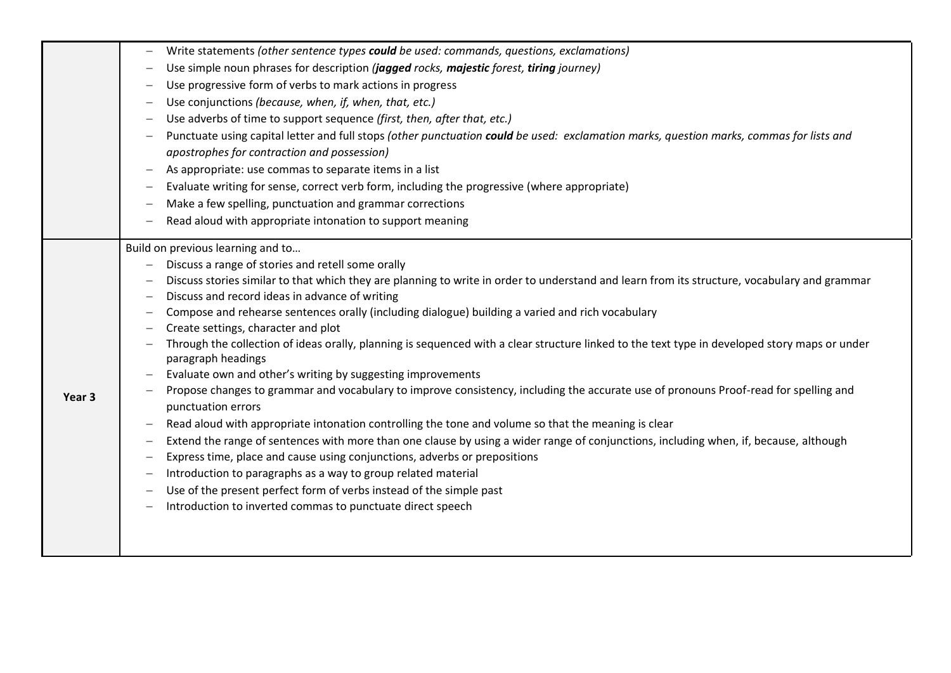|                   | Write statements (other sentence types could be used: commands, questions, exclamations)                                                                            |
|-------------------|---------------------------------------------------------------------------------------------------------------------------------------------------------------------|
|                   | Use simple noun phrases for description (jagged rocks, majestic forest, tiring journey)                                                                             |
|                   | Use progressive form of verbs to mark actions in progress                                                                                                           |
|                   | Use conjunctions (because, when, if, when, that, etc.)                                                                                                              |
|                   | Use adverbs of time to support sequence (first, then, after that, etc.)                                                                                             |
|                   | Punctuate using capital letter and full stops (other punctuation could be used: exclamation marks, question marks, commas for lists and                             |
|                   | apostrophes for contraction and possession)                                                                                                                         |
|                   | As appropriate: use commas to separate items in a list                                                                                                              |
|                   | Evaluate writing for sense, correct verb form, including the progressive (where appropriate)                                                                        |
|                   | Make a few spelling, punctuation and grammar corrections                                                                                                            |
|                   | Read aloud with appropriate intonation to support meaning                                                                                                           |
|                   | Build on previous learning and to                                                                                                                                   |
|                   | Discuss a range of stories and retell some orally                                                                                                                   |
|                   | Discuss stories similar to that which they are planning to write in order to understand and learn from its structure, vocabulary and grammar                        |
|                   | Discuss and record ideas in advance of writing<br>$\qquad \qquad -$                                                                                                 |
|                   | Compose and rehearse sentences orally (including dialogue) building a varied and rich vocabulary                                                                    |
|                   | Create settings, character and plot                                                                                                                                 |
|                   | Through the collection of ideas orally, planning is sequenced with a clear structure linked to the text type in developed story maps or under<br>paragraph headings |
|                   | Evaluate own and other's writing by suggesting improvements                                                                                                         |
| Year <sub>3</sub> | Propose changes to grammar and vocabulary to improve consistency, including the accurate use of pronouns Proof-read for spelling and<br>punctuation errors          |
|                   | Read aloud with appropriate intonation controlling the tone and volume so that the meaning is clear                                                                 |
|                   | Extend the range of sentences with more than one clause by using a wider range of conjunctions, including when, if, because, although<br>$\qquad \qquad -$          |
|                   | Express time, place and cause using conjunctions, adverbs or prepositions                                                                                           |
|                   | Introduction to paragraphs as a way to group related material                                                                                                       |
|                   | Use of the present perfect form of verbs instead of the simple past                                                                                                 |
|                   | Introduction to inverted commas to punctuate direct speech                                                                                                          |
|                   |                                                                                                                                                                     |
|                   |                                                                                                                                                                     |
|                   |                                                                                                                                                                     |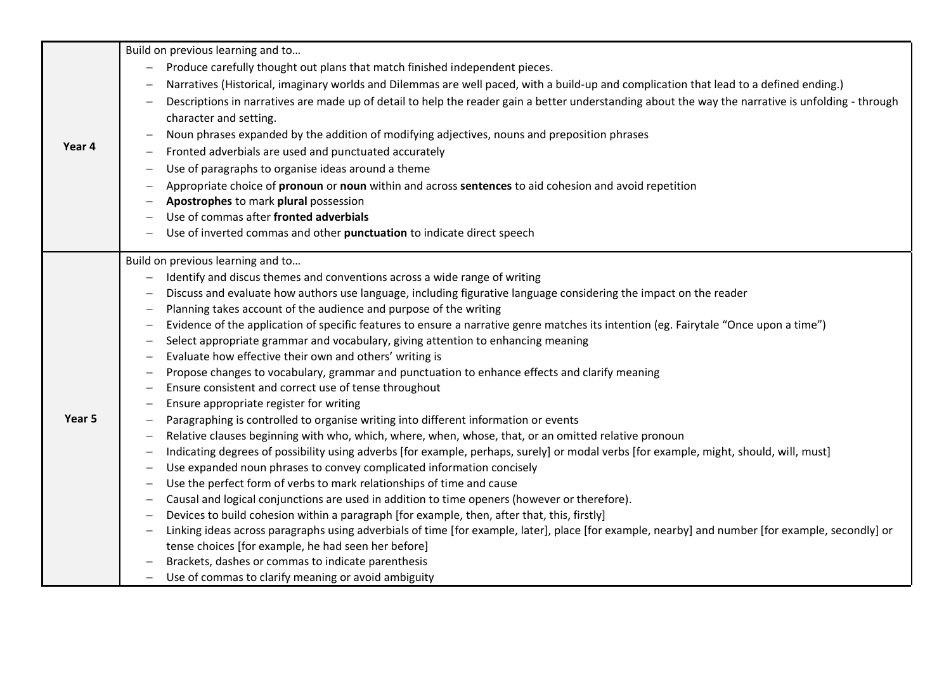|        | Build on previous learning and to                                                                                                                                              |
|--------|--------------------------------------------------------------------------------------------------------------------------------------------------------------------------------|
|        | Produce carefully thought out plans that match finished independent pieces.<br>$\overline{\phantom{m}}$                                                                        |
|        | Narratives (Historical, imaginary worlds and Dilemmas are well paced, with a build-up and complication that lead to a defined ending.)<br>$\overline{\phantom{m}}$             |
|        | Descriptions in narratives are made up of detail to help the reader gain a better understanding about the way the narrative is unfolding - through<br>$\overline{\phantom{m}}$ |
|        | character and setting.                                                                                                                                                         |
|        | Noun phrases expanded by the addition of modifying adjectives, nouns and preposition phrases<br>$\overline{\phantom{m}}$                                                       |
| Year 4 | Fronted adverbials are used and punctuated accurately                                                                                                                          |
|        | Use of paragraphs to organise ideas around a theme<br>$\overline{\phantom{m}}$                                                                                                 |
|        | Appropriate choice of pronoun or noun within and across sentences to aid cohesion and avoid repetition                                                                         |
|        | Apostrophes to mark plural possession<br>$\overline{\phantom{m}}$                                                                                                              |
|        | Use of commas after fronted adverbials                                                                                                                                         |
|        | Use of inverted commas and other punctuation to indicate direct speech                                                                                                         |
|        |                                                                                                                                                                                |
|        | Build on previous learning and to                                                                                                                                              |
|        | Identify and discus themes and conventions across a wide range of writing                                                                                                      |
|        | Discuss and evaluate how authors use language, including figurative language considering the impact on the reader<br>$\overline{\phantom{m}}$                                  |
|        | Planning takes account of the audience and purpose of the writing<br>$\overline{\phantom{m}}$                                                                                  |
|        | Evidence of the application of specific features to ensure a narrative genre matches its intention (eg. Fairytale "Once upon a time")<br>$\overline{\phantom{m}}$              |
|        | Select appropriate grammar and vocabulary, giving attention to enhancing meaning<br>$\overline{\phantom{m}}$                                                                   |
|        | Evaluate how effective their own and others' writing is<br>$\overline{\phantom{m}}$                                                                                            |
|        | Propose changes to vocabulary, grammar and punctuation to enhance effects and clarify meaning<br>$\overline{\phantom{m}}$                                                      |
|        | Ensure consistent and correct use of tense throughout<br>$\overline{\phantom{m}}$                                                                                              |
|        | Ensure appropriate register for writing<br>$\overline{\phantom{m}}$                                                                                                            |
| Year 5 | Paragraphing is controlled to organise writing into different information or events<br>$\overline{\phantom{m}}$                                                                |
|        | Relative clauses beginning with who, which, where, when, whose, that, or an omitted relative pronoun<br>$\overline{\phantom{m}}$                                               |
|        | Indicating degrees of possibility using adverbs [for example, perhaps, surely] or modal verbs [for example, might, should, will, must]<br>$\overline{\phantom{m}}$             |
|        | Use expanded noun phrases to convey complicated information concisely<br>$\overline{\phantom{m}}$                                                                              |
|        | Use the perfect form of verbs to mark relationships of time and cause<br>$\overline{\phantom{m}}$                                                                              |
|        | Causal and logical conjunctions are used in addition to time openers (however or therefore).<br>$\overline{\phantom{m}}$                                                       |
|        | Devices to build cohesion within a paragraph [for example, then, after that, this, firstly]                                                                                    |
|        | Linking ideas across paragraphs using adverbials of time [for example, later], place [for example, nearby] and number [for example, secondly] or<br>$\overline{\phantom{m}}$   |
|        | tense choices [for example, he had seen her before]                                                                                                                            |
|        | Brackets, dashes or commas to indicate parenthesis                                                                                                                             |
|        | Use of commas to clarify meaning or avoid ambiguity<br>$\overline{\phantom{m}}$                                                                                                |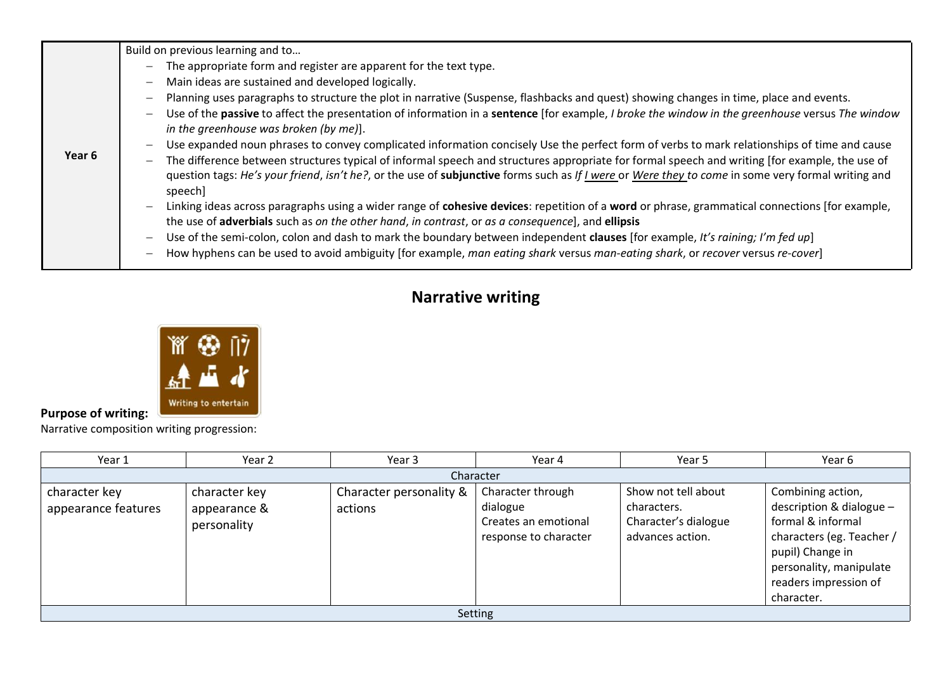| Build on previous learning and to                                                                                                                                                                                                                                                                                                                                                                                                                                                                                                                                                                                                                                                                                                                                                                                                                                                                                                                                                                                                                                                                                                                                                                                                                                                                                        |
|--------------------------------------------------------------------------------------------------------------------------------------------------------------------------------------------------------------------------------------------------------------------------------------------------------------------------------------------------------------------------------------------------------------------------------------------------------------------------------------------------------------------------------------------------------------------------------------------------------------------------------------------------------------------------------------------------------------------------------------------------------------------------------------------------------------------------------------------------------------------------------------------------------------------------------------------------------------------------------------------------------------------------------------------------------------------------------------------------------------------------------------------------------------------------------------------------------------------------------------------------------------------------------------------------------------------------|
| The appropriate form and register are apparent for the text type.<br>Main ideas are sustained and developed logically.<br>Planning uses paragraphs to structure the plot in narrative (Suspense, flashbacks and quest) showing changes in time, place and events.<br>Use of the passive to affect the presentation of information in a sentence [for example, I broke the window in the greenhouse versus The window<br>in the greenhouse was broken (by me)].<br>Use expanded noun phrases to convey complicated information concisely Use the perfect form of verbs to mark relationships of time and cause<br>The difference between structures typical of informal speech and structures appropriate for formal speech and writing [for example, the use of<br>question tags: He's your friend, isn't he?, or the use of subjunctive forms such as If I were or Were they to come in some very formal writing and<br>speech]<br>Linking ideas across paragraphs using a wider range of cohesive devices: repetition of a word or phrase, grammatical connections [for example,<br>the use of adverbials such as on the other hand, in contrast, or as a consequence], and ellipsis<br>Use of the semi-colon, colon and dash to mark the boundary between independent clauses [for example, It's raining; I'm fed up] |
| How hyphens can be used to avoid ambiguity [for example, man eating shark versus man-eating shark, or recover versus re-cover]                                                                                                                                                                                                                                                                                                                                                                                                                                                                                                                                                                                                                                                                                                                                                                                                                                                                                                                                                                                                                                                                                                                                                                                           |
|                                                                                                                                                                                                                                                                                                                                                                                                                                                                                                                                                                                                                                                                                                                                                                                                                                                                                                                                                                                                                                                                                                                                                                                                                                                                                                                          |

## **Narrative writing**



## **Purpose of writing:**

Narrative composition writing progression:

| Year 1                               | Year 2                                       | Year 3                             | Year 4                                                                         | Year 5                                                                         | Year 6                                                                                                                                                                                  |  |
|--------------------------------------|----------------------------------------------|------------------------------------|--------------------------------------------------------------------------------|--------------------------------------------------------------------------------|-----------------------------------------------------------------------------------------------------------------------------------------------------------------------------------------|--|
|                                      |                                              |                                    | Character                                                                      |                                                                                |                                                                                                                                                                                         |  |
| character key<br>appearance features | character key<br>appearance &<br>personality | Character personality &<br>actions | Character through<br>dialogue<br>Creates an emotional<br>response to character | Show not tell about<br>characters.<br>Character's dialogue<br>advances action. | Combining action,<br>description & dialogue $-$<br>formal & informal<br>characters (eg. Teacher /<br>pupil) Change in<br>personality, manipulate<br>readers impression of<br>character. |  |
| Setting                              |                                              |                                    |                                                                                |                                                                                |                                                                                                                                                                                         |  |